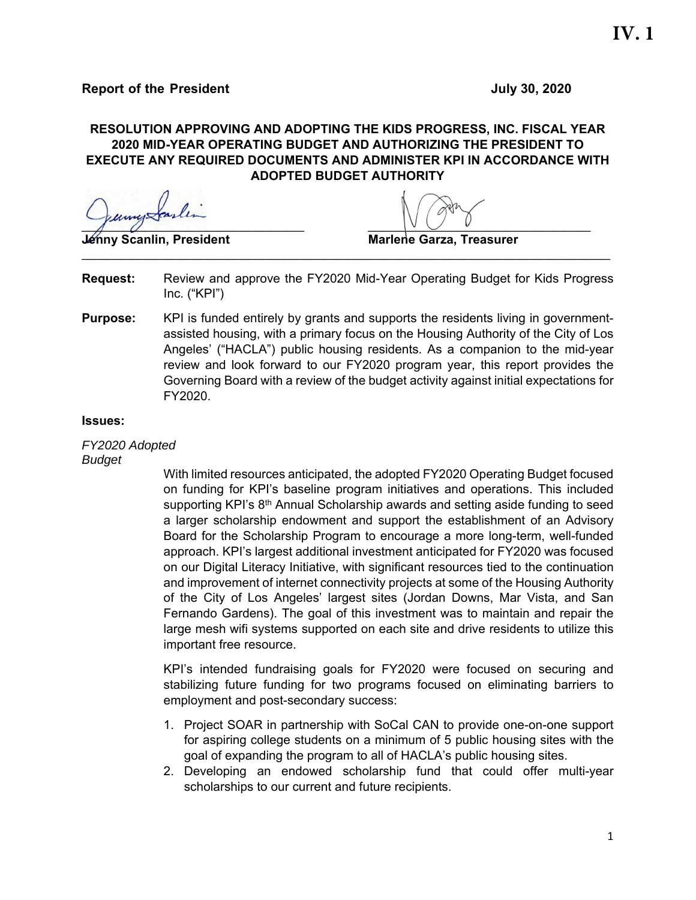### **RESOLUTION APPROVING AND ADOPTING THE KIDS PROGRESS, INC. FISCAL YEAR 2020 MID-YEAR OPERATING BUDGET AND AUTHORIZING THE PRESIDENT TO EXECUTE ANY REQUIRED DOCUMENTS AND ADMINISTER KPI IN ACCORDANCE WITH ADOPTED BUDGET AUTHORITY**

 $\sqrt{2}$ 

**Jénny Scanlin, President Marlene Garza, Treasurer** 

- **Request:** Review and approve the FY2020 Mid-Year Operating Budget for Kids Progress Inc. ("KPI")
- **Purpose:** KPI is funded entirely by grants and supports the residents living in governmentassisted housing, with a primary focus on the Housing Authority of the City of Los Angeles' ("HACLA") public housing residents. As a companion to the mid-year review and look forward to our FY2020 program year, this report provides the Governing Board with a review of the budget activity against initial expectations for FY2020.

#### **Issues:**

*FY2020 Adopted Budget* 

> With limited resources anticipated, the adopted FY2020 Operating Budget focused on funding for KPI's baseline program initiatives and operations. This included supporting KPI's 8<sup>th</sup> Annual Scholarship awards and setting aside funding to seed a larger scholarship endowment and support the establishment of an Advisory Board for the Scholarship Program to encourage a more long-term, well-funded approach. KPI's largest additional investment anticipated for FY2020 was focused on our Digital Literacy Initiative, with significant resources tied to the continuation and improvement of internet connectivity projects at some of the Housing Authority of the City of Los Angeles' largest sites (Jordan Downs, Mar Vista, and San Fernando Gardens). The goal of this investment was to maintain and repair the large mesh wifi systems supported on each site and drive residents to utilize this important free resource.

> KPI's intended fundraising goals for FY2020 were focused on securing and stabilizing future funding for two programs focused on eliminating barriers to employment and post-secondary success:

- 1. Project SOAR in partnership with SoCal CAN to provide one-on-one support for aspiring college students on a minimum of 5 public housing sites with the goal of expanding the program to all of HACLA's public housing sites.
- 2. Developing an endowed scholarship fund that could offer multi-year scholarships to our current and future recipients.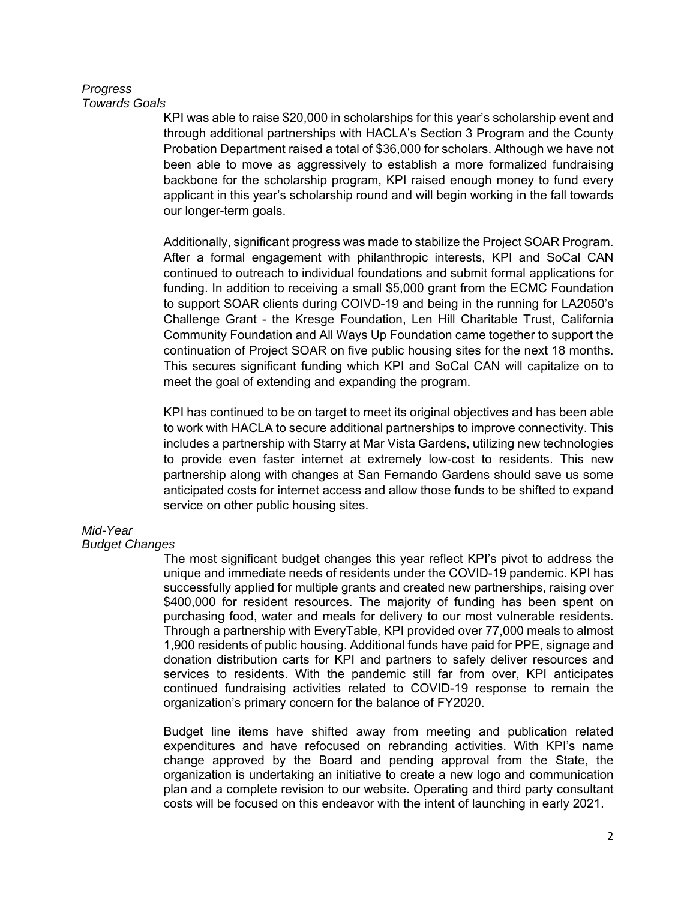#### *Progress Towards Goals*

KPI was able to raise \$20,000 in scholarships for this year's scholarship event and through additional partnerships with HACLA's Section 3 Program and the County Probation Department raised a total of \$36,000 for scholars. Although we have not been able to move as aggressively to establish a more formalized fundraising backbone for the scholarship program, KPI raised enough money to fund every applicant in this year's scholarship round and will begin working in the fall towards our longer-term goals.

Additionally, significant progress was made to stabilize the Project SOAR Program. After a formal engagement with philanthropic interests, KPI and SoCal CAN continued to outreach to individual foundations and submit formal applications for funding. In addition to receiving a small \$5,000 grant from the ECMC Foundation to support SOAR clients during COIVD-19 and being in the running for LA2050's Challenge Grant - the Kresge Foundation, Len Hill Charitable Trust, California Community Foundation and All Ways Up Foundation came together to support the continuation of Project SOAR on five public housing sites for the next 18 months. This secures significant funding which KPI and SoCal CAN will capitalize on to meet the goal of extending and expanding the program.

KPI has continued to be on target to meet its original objectives and has been able to work with HACLA to secure additional partnerships to improve connectivity. This includes a partnership with Starry at Mar Vista Gardens, utilizing new technologies to provide even faster internet at extremely low-cost to residents. This new partnership along with changes at San Fernando Gardens should save us some anticipated costs for internet access and allow those funds to be shifted to expand service on other public housing sites.

# *Mid-Year*

### *Budget Changes*

The most significant budget changes this year reflect KPI's pivot to address the unique and immediate needs of residents under the COVID-19 pandemic. KPI has successfully applied for multiple grants and created new partnerships, raising over \$400,000 for resident resources. The majority of funding has been spent on purchasing food, water and meals for delivery to our most vulnerable residents. Through a partnership with EveryTable, KPI provided over 77,000 meals to almost 1,900 residents of public housing. Additional funds have paid for PPE, signage and donation distribution carts for KPI and partners to safely deliver resources and services to residents. With the pandemic still far from over, KPI anticipates continued fundraising activities related to COVID-19 response to remain the organization's primary concern for the balance of FY2020.

Budget line items have shifted away from meeting and publication related expenditures and have refocused on rebranding activities. With KPI's name change approved by the Board and pending approval from the State, the organization is undertaking an initiative to create a new logo and communication plan and a complete revision to our website. Operating and third party consultant costs will be focused on this endeavor with the intent of launching in early 2021.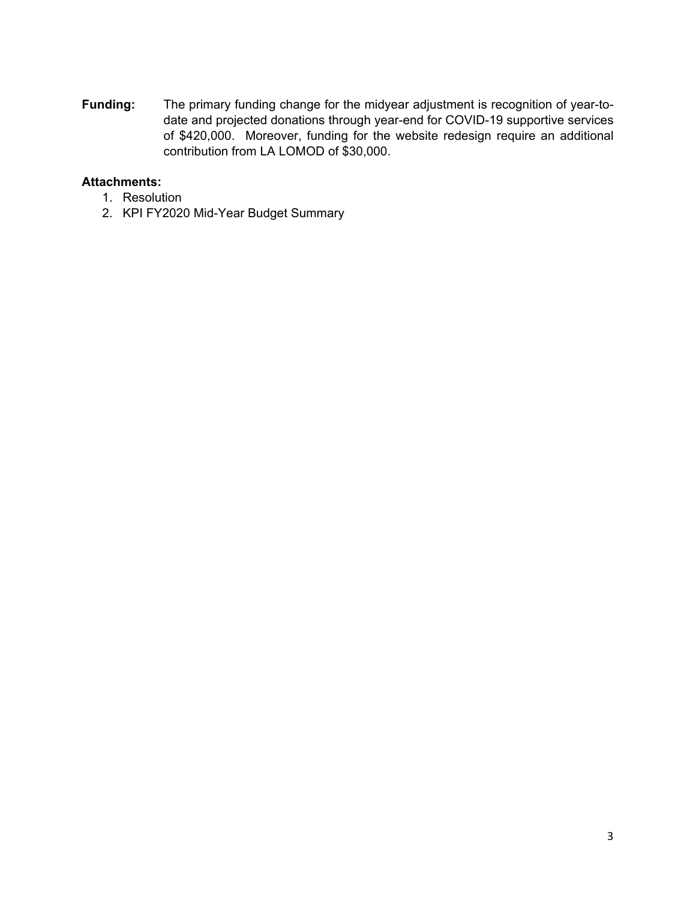**Funding:** The primary funding change for the midyear adjustment is recognition of year-todate and projected donations through year-end for COVID-19 supportive services of \$420,000. Moreover, funding for the website redesign require an additional contribution from LA LOMOD of \$30,000.

# **Attachments:**

- 1. Resolution
- 2. KPI FY2020 Mid-Year Budget Summary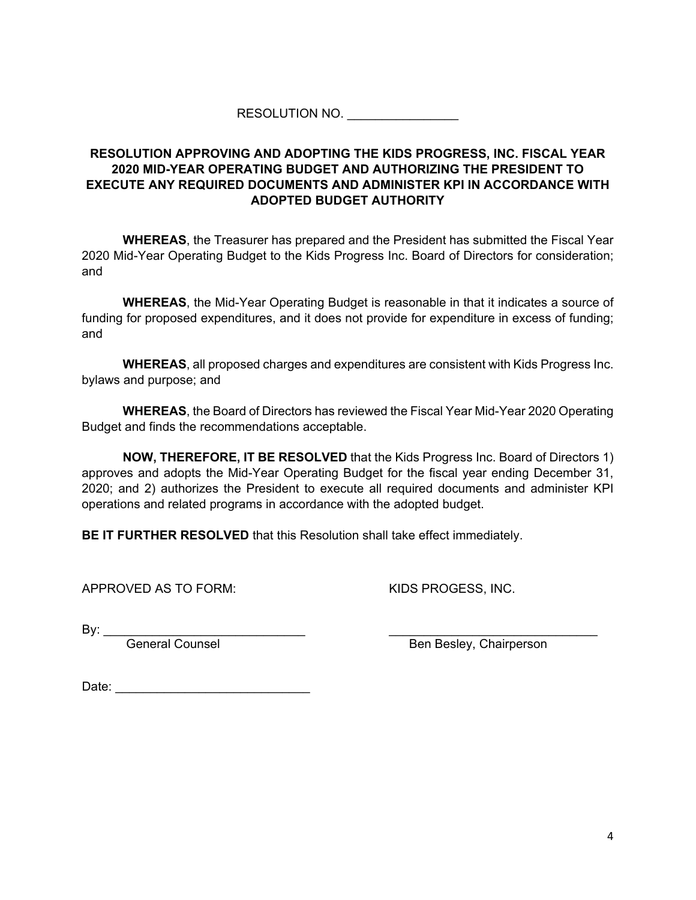RESOLUTION NO.

## **RESOLUTION APPROVING AND ADOPTING THE KIDS PROGRESS, INC. FISCAL YEAR 2020 MID-YEAR OPERATING BUDGET AND AUTHORIZING THE PRESIDENT TO EXECUTE ANY REQUIRED DOCUMENTS AND ADMINISTER KPI IN ACCORDANCE WITH ADOPTED BUDGET AUTHORITY**

**WHEREAS**, the Treasurer has prepared and the President has submitted the Fiscal Year 2020 Mid-Year Operating Budget to the Kids Progress Inc. Board of Directors for consideration; and

**WHEREAS**, the Mid-Year Operating Budget is reasonable in that it indicates a source of funding for proposed expenditures, and it does not provide for expenditure in excess of funding; and

**WHEREAS**, all proposed charges and expenditures are consistent with Kids Progress Inc. bylaws and purpose; and

**WHEREAS**, the Board of Directors has reviewed the Fiscal Year Mid-Year 2020 Operating Budget and finds the recommendations acceptable.

**NOW, THEREFORE, IT BE RESOLVED** that the Kids Progress Inc. Board of Directors 1) approves and adopts the Mid-Year Operating Budget for the fiscal year ending December 31, 2020; and 2) authorizes the President to execute all required documents and administer KPI operations and related programs in accordance with the adopted budget.

**BE IT FURTHER RESOLVED** that this Resolution shall take effect immediately.

APPROVED AS TO FORM: KIDS PROGESS, INC.

By: \_\_\_\_\_\_\_\_\_\_\_\_\_\_\_\_\_\_\_\_\_\_\_\_\_\_\_\_\_ \_\_\_\_\_\_\_\_\_\_\_\_\_\_\_\_\_\_\_\_\_\_\_\_\_\_\_\_\_\_

General Counsel and Ben Besley, Chairperson

Date: \_\_\_\_\_\_\_\_\_\_\_\_\_\_\_\_\_\_\_\_\_\_\_\_\_\_\_\_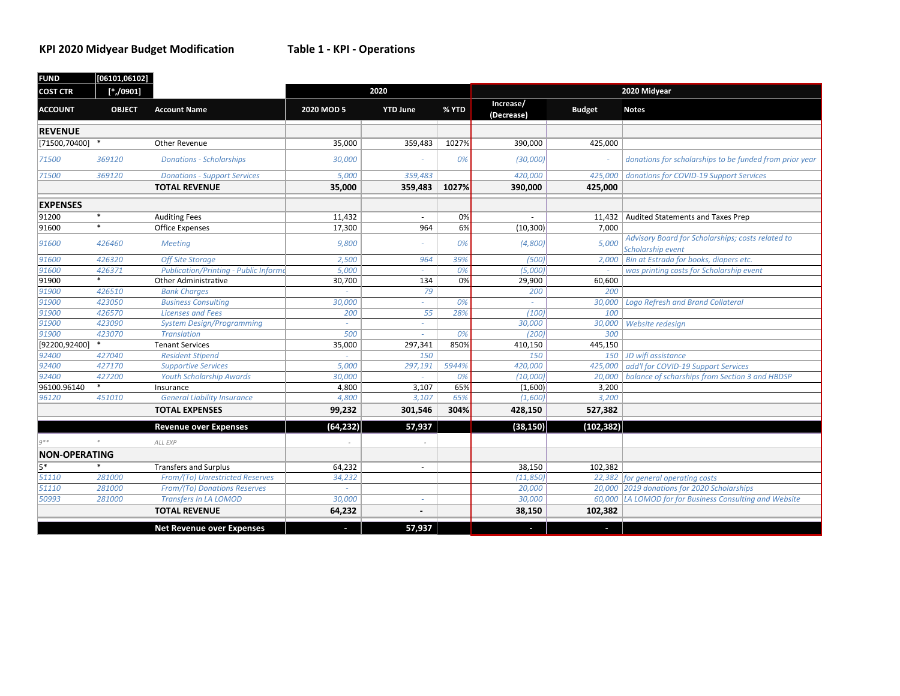### **KPI 2020 Midyear Budget Modification Table 1 ‐ KPI ‐ Operations**

| <b>FUND</b>          | [06101,06102] |                                              |            |                 |       |                         |               |                                                                        |  |
|----------------------|---------------|----------------------------------------------|------------|-----------------|-------|-------------------------|---------------|------------------------------------------------------------------------|--|
| <b>COST CTR</b>      | $[*/0901]$    |                                              | 2020       |                 |       | 2020 Midyear            |               |                                                                        |  |
| <b>ACCOUNT</b>       | <b>OBJECT</b> | <b>Account Name</b>                          | 2020 MOD 5 | <b>YTD June</b> | % YTD | Increase/<br>(Decrease) | <b>Budget</b> | <b>Notes</b>                                                           |  |
| <b>REVENUE</b>       |               |                                              |            |                 |       |                         |               |                                                                        |  |
| [71500,70400]        | $\ast$        | Other Revenue                                | 35,000     | 359,483         | 1027% | 390,000                 | 425,000       |                                                                        |  |
| 71500                | 369120        | <b>Donations - Scholarships</b>              | 30,000     |                 | 0%    | (30,000)                |               | donations for scholarships to be funded from prior year                |  |
| 71500                | 369120        | <b>Donations - Support Services</b>          | 5,000      | 359,483         |       | 420,000                 |               | 425,000 donations for COVID-19 Support Services                        |  |
|                      |               | <b>TOTAL REVENUE</b>                         | 35,000     | 359,483         | 1027% | 390,000                 | 425,000       |                                                                        |  |
| <b>EXPENSES</b>      |               |                                              |            |                 |       |                         |               |                                                                        |  |
| 91200                | $\ast$        | <b>Auditing Fees</b>                         | 11,432     |                 | 0%    | $\sim$                  |               | 11,432 Audited Statements and Taxes Prep                               |  |
| 91600                | *             | Office Expenses                              | 17,300     | 964             | 6%    | (10, 300)               | 7,000         |                                                                        |  |
| 91600                | 426460        | <b>Meeting</b>                               | 9.800      |                 | 0%    | (4,800)                 | 5,000         | Advisory Board for Scholarships; costs related to<br>Scholarship event |  |
| 91600                | 426320        | <b>Off Site Storage</b>                      | 2,500      | 964             | 39%   | (500)                   | 2,000         | Bin at Estrada for books, diapers etc.                                 |  |
| 91600                | 426371        | <b>Publication/Printing - Public Informo</b> | 5,000      |                 | 0%    | (5,000)                 |               | was printing costs for Scholarship event                               |  |
| 91900                | $\ast$        | <b>Other Administrative</b>                  | 30.700     | 134             | 0%    | 29,900                  | 60,600        |                                                                        |  |
| 91900                | 426510        | <b>Bank Charges</b>                          |            | 79              |       | 200                     | 200           |                                                                        |  |
| 91900                | 423050        | <b>Business Consulting</b>                   | 30,000     |                 | 0%    |                         | 30,000        | Logo Refresh and Brand Collateral                                      |  |
| 91900                | 426570        | <b>Licenses and Fees</b>                     | 200        | 55              | 28%   | (100)                   | 100           |                                                                        |  |
| 91900                | 423090        | <b>System Design/Programming</b>             | ×.         | a.              |       | 30,000                  | 30,000        | Website redesign                                                       |  |
| 91900                | 423070        | <b>Translation</b>                           | 500        |                 | 0%    | (200)                   | 300           |                                                                        |  |
| [92200,92400]        | $\ast$        | <b>Tenant Services</b>                       | 35,000     | 297,341         | 850%  | 410,150                 | 445,150       |                                                                        |  |
| 92400                | 427040        | <b>Resident Stipend</b>                      |            | 150             |       | 150                     |               | 150 JD wifi assistance                                                 |  |
| 92400                | 427170        | <b>Supportive Services</b>                   | 5,000      | 297,191         | 5944% | 420,000                 |               | 425,000   add'l for COVID-19 Support Services                          |  |
| 92400                | 427200        | <b>Youth Scholarship Awards</b>              | 30,000     |                 | 0%    | (10,000)                |               | 20,000   balance of scharships from Section 3 and HBDSP                |  |
| 96100.96140          | $\ast$        | Insurance                                    | 4,800      | 3,107           | 65%   | (1,600)                 | 3,200         |                                                                        |  |
| 96120                | 451010        | <b>General Liability Insurance</b>           | 4,800      | 3,107           | 65%   | (1,600)                 | 3,200         |                                                                        |  |
|                      |               | <b>TOTAL EXPENSES</b>                        | 99,232     | 301,546         | 304%  | 428,150                 | 527,382       |                                                                        |  |
|                      |               | <b>Revenue over Expenses</b>                 | (64, 232)  | 57,937          |       | (38, 150)               | (102, 382)    |                                                                        |  |
| $q**$                |               | <b>ALL EXP</b>                               |            |                 |       |                         |               |                                                                        |  |
| <b>NON-OPERATING</b> |               |                                              |            |                 |       |                         |               |                                                                        |  |
| 5*                   | $\ast$        | <b>Transfers and Surplus</b>                 | 64,232     | $\sim$          |       | 38,150                  | 102,382       |                                                                        |  |
| 51110                | 281000        | From/(To) Unrestricted Reserves              | 34,232     |                 |       | (11, 850)               |               | 22,382 for general operating costs                                     |  |
| 51110                | 281000        | From/(To) Donations Reserves                 | ÷          |                 |       | 20,000                  |               | 20,000 2019 donations for 2020 Scholarships                            |  |
| 50993                | 281000        | <b>Transfers In LA LOMOD</b>                 | 30,000     | ÷               |       | 30,000                  |               | 60,000 LA LOMOD for for Business Consulting and Website                |  |
|                      |               | <b>TOTAL REVENUE</b>                         | 64,232     |                 |       | 38,150                  | 102,382       |                                                                        |  |
|                      |               | <b>Net Revenue over Expenses</b>             | J          | 57,937          |       | J                       | J.            |                                                                        |  |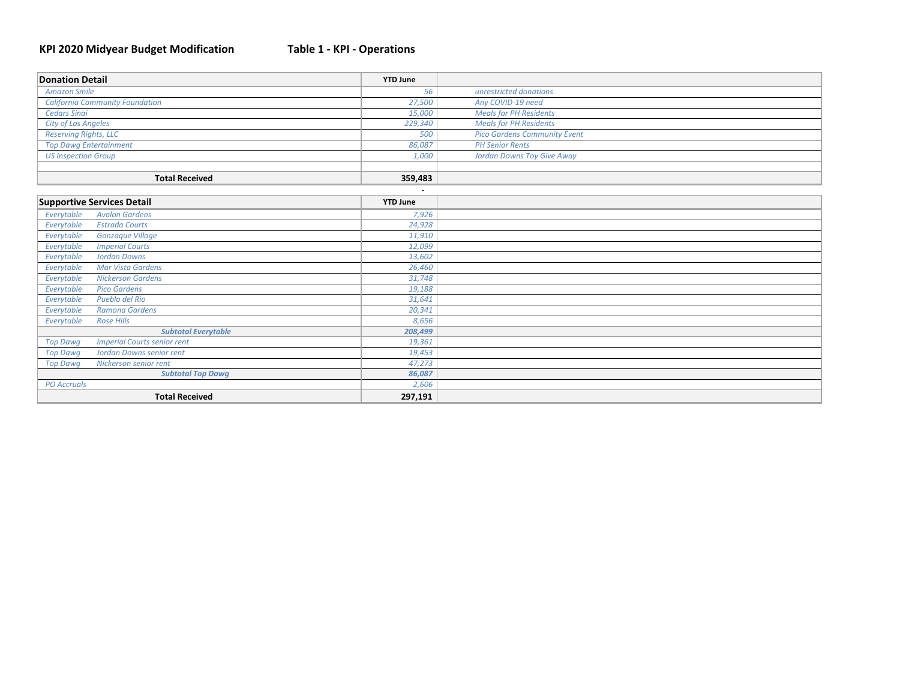#### **KPI 2020 Midyear Budget Modification Table 1 ‐ KPI ‐ Operations**

| <b>Donation Detail</b>                                | <b>YTD June</b> |                                     |
|-------------------------------------------------------|-----------------|-------------------------------------|
| <b>Amazon Smile</b>                                   | 56              | unrestricted donations              |
| <b>California Community Foundation</b>                | 27,500          | Any COVID-19 need                   |
| <b>Cedars Sinai</b>                                   | 15,000          | <b>Meals for PH Residents</b>       |
| <b>City of Los Angeles</b>                            | 229,340         | <b>Meals for PH Residents</b>       |
| <b>Reserving Rights, LLC</b>                          | 500             | <b>Pico Gardens Community Event</b> |
| <b>Top Dawg Entertainment</b>                         | 86,087          | <b>PH Senior Rents</b>              |
| <b>US Inspection Group</b>                            | 1,000           | <b>Jordan Downs Toy Give Away</b>   |
|                                                       |                 |                                     |
| <b>Total Received</b>                                 | 359,483         |                                     |
|                                                       |                 |                                     |
| <b>Supportive Services Detail</b>                     | <b>YTD June</b> |                                     |
| Everytable<br><b>Avalon Gardens</b>                   | 7,926           |                                     |
| Everytable<br><b>Estrada Courts</b>                   | 24,928          |                                     |
| <b>Gonzaque Village</b><br>Everytable                 | 11,910          |                                     |
| Everytable<br><b>Imperial Courts</b>                  | 12,099          |                                     |
| <b>Jordan Downs</b><br>Everytable                     | 13,602          |                                     |
| <b>Mar Vista Gardens</b><br>Everytable                | 26,460          |                                     |
| Everytable<br><b>Nickerson Gardens</b>                | 31,748          |                                     |
| <b>Pico Gardens</b><br>Everytable                     | 19,188          |                                     |
| Pueblo del Rio<br>Everytable                          | 31,641          |                                     |
| Ramona Gardens<br>Everytable                          | 20,341          |                                     |
| <b>Rose Hills</b><br>Everytable                       | 8,656           |                                     |
| <b>Subtotal Everytable</b>                            | 208,499         |                                     |
| <b>Imperial Courts senior rent</b><br><b>Top Dawg</b> | 19,361          |                                     |
| <b>Jordan Downs senior rent</b><br><b>Top Dawg</b>    | 19,453          |                                     |
| Nickerson senior rent<br><b>Top Dawg</b>              | 47,273          |                                     |
| <b>Subtotal Top Dawg</b>                              | 86,087          |                                     |
| <b>PO</b> Accruals                                    | 2,606           |                                     |
| <b>Total Received</b>                                 | 297,191         |                                     |